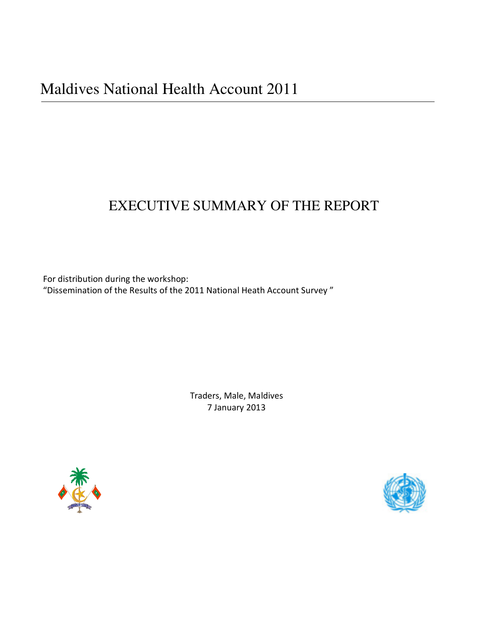# EXECUTIVE SUMMARY OF THE REPORT

For distribution during the workshop: "Dissemination of the Results of the 2011 National Heath Account Survey "

> Traders, Male, Maldives 7 January 2013



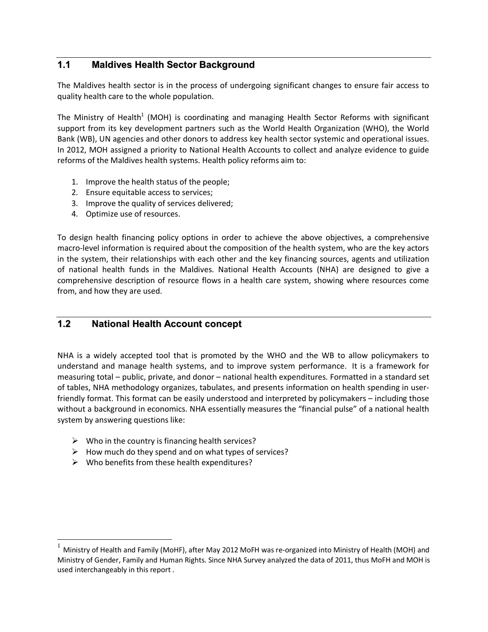# **1.1 Maldives Health Sector Background**

The Maldives health sector is in the process of undergoing significant changes to ensure fair access to quality health care to the whole population.

The Ministry of Health<sup>1</sup> (MOH) is coordinating and managing Health Sector Reforms with significant support from its key development partners such as the World Health Organization (WHO), the World Bank (WB), UN agencies and other donors to address key health sector systemic and operational issues. In 2012, MOH assigned a priority to National Health Accounts to collect and analyze evidence to guide reforms of the Maldives health systems. Health policy reforms aim to:

- 1. Improve the health status of the people;
- 2. Ensure equitable access to services;
- 3. Improve the quality of services delivered;
- 4. Optimize use of resources.

To design health financing policy options in order to achieve the above objectives, a comprehensive macro-level information is required about the composition of the health system, who are the key actors in the system, their relationships with each other and the key financing sources, agents and utilization of national health funds in the Maldives. National Health Accounts (NHA) are designed to give a comprehensive description of resource flows in a health care system, showing where resources come from, and how they are used.

# **1.2 National Health Account concept**

NHA is a widely accepted tool that is promoted by the WHO and the WB to allow policymakers to understand and manage health systems, and to improve system performance. It is a framework for measuring total – public, private, and donor – national health expenditures. Formatted in a standard set of tables, NHA methodology organizes, tabulates, and presents information on health spending in userfriendly format. This format can be easily understood and interpreted by policymakers – including those without a background in economics. NHA essentially measures the "financial pulse" of a national health system by answering questions like:

- $\triangleright$  Who in the country is financing health services?
- $\triangleright$  How much do they spend and on what types of services?
- $\triangleright$  Who benefits from these health expenditures?

l.

<sup>1</sup> Ministry of Health and Family (MoHF), after May 2012 MoFH was re-organized into Ministry of Health (MOH) and Ministry of Gender, Family and Human Rights. Since NHA Survey analyzed the data of 2011, thus MoFH and MOH is used interchangeably in this report .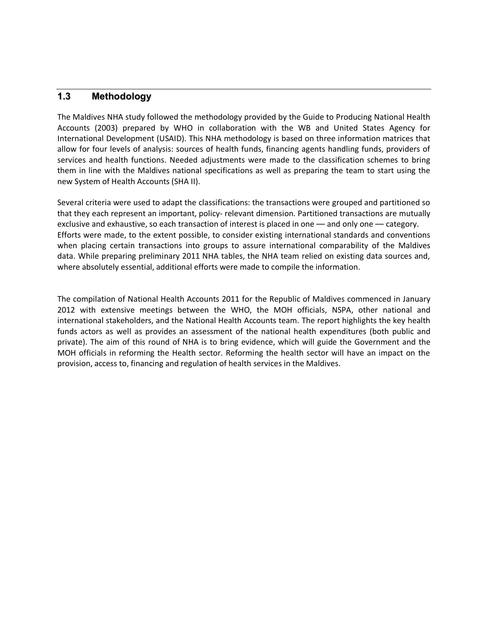## **1.3 Methodology**

The Maldives NHA study followed the methodology provided by the Guide to Producing National Health Accounts (2003) prepared by WHO in collaboration with the WB and United States Agency for International Development (USAID). This NHA methodology is based on three information matrices that allow for four levels of analysis: sources of health funds, financing agents handling funds, providers of services and health functions. Needed adjustments were made to the classification schemes to bring them in line with the Maldives national specifications as well as preparing the team to start using the new System of Health Accounts (SHA II).

Several criteria were used to adapt the classifications: the transactions were grouped and partitioned so that they each represent an important, policy- relevant dimension. Partitioned transactions are mutually exclusive and exhaustive, so each transaction of interest is placed in one — and only one — category. Efforts were made, to the extent possible, to consider existing international standards and conventions when placing certain transactions into groups to assure international comparability of the Maldives data. While preparing preliminary 2011 NHA tables, the NHA team relied on existing data sources and, where absolutely essential, additional efforts were made to compile the information.

The compilation of National Health Accounts 2011 for the Republic of Maldives commenced in January 2012 with extensive meetings between the WHO, the MOH officials, NSPA, other national and international stakeholders, and the National Health Accounts team. The report highlights the key health funds actors as well as provides an assessment of the national health expenditures (both public and private). The aim of this round of NHA is to bring evidence, which will guide the Government and the MOH officials in reforming the Health sector. Reforming the health sector will have an impact on the provision, access to, financing and regulation of health services in the Maldives.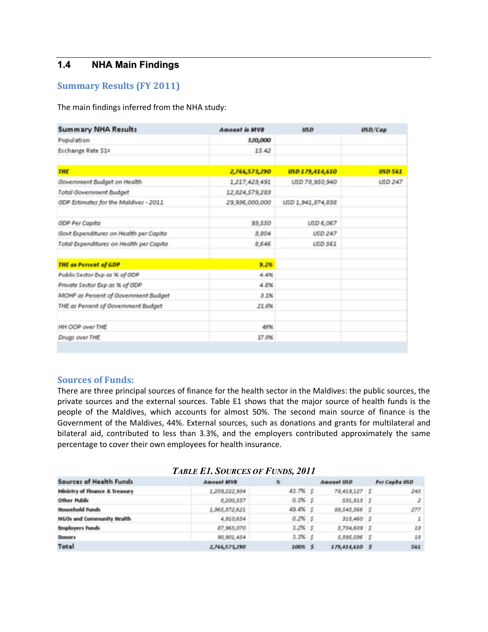# **1.4 NHA Main Findings**

### **Summary Results (FY 2011)**

The main findings inferred from the NHA study:

| <b>Summary NHA Results</b>              | <b>Amount in MVR</b> | <b>USD</b>        | USD/Cap        |
|-----------------------------------------|----------------------|-------------------|----------------|
| Population                              | 320,000              |                   |                |
| Exchange Rate \$1=                      | 15.42                |                   |                |
| <b>THE</b>                              | 2,766,573,290        | USD 179,414,610   | <b>USD 561</b> |
| Government Budget on Health             | 1,217,423,491        | USD 78,950,940    | <b>USD 247</b> |
| Total Government Budget                 | 12,824,579,283       |                   |                |
| GDP Estimates for the Maldives - 2011   | 29,936,000,000       | USD 1,941,374,838 |                |
| <b>GDP Per Capita</b>                   | 93,550               | USD 6,067         |                |
| Govt Expenditures on Health per Capita  | 3,804                | <b>USD 247</b>    |                |
| Total Expenditures on Health per Capita | 8,646                | <b>USD 561</b>    |                |
| <b>THE as Percent of GDP</b>            | 9.2%                 |                   |                |
| Public Sector Exp as % of GDP           | 4.4%                 |                   |                |
| Private Sector Exp as % of GDP          | 4.8%                 |                   |                |
| MOHF as Percent of Government Budget    | 3.1%                 |                   |                |
| THE as Percent of Government Budget     | 21.6%                |                   |                |
| HH OOP over THE                         | 49%                  |                   |                |
| Drugs over THE                          | 27.0%                |                   |                |

#### **Sources of Funds:**

There are three principal sources of finance for the health sector in the Maldives: the public sources, the private sources and the external sources. Table E1 shows that the major source of health funds is the people of the Maldives, which accounts for almost 50%. The second main source of finance is the Government of the Maldives, 44%. External sources, such as donations and grants for multilateral and bilateral aid, contributed to less than 3.3%, and the employers contributed approximately the same percentage to cover their own employees for health insurance.

|                                  | $1.10000$ $1.1000$ $1.0000$ $1.000$ |             |                |                |
|----------------------------------|-------------------------------------|-------------|----------------|----------------|
| <b>Sources of Health Funds</b>   | <b>Amount MVR</b>                   |             | Amount USD     | Per Capita USD |
| Ministry of Finance & Treasury   | 1,209,222,934                       | $43.7%$ $5$ | 78,419,127 \$  | 245            |
| <b>Other Public</b>              | 8,200,557                           | $0.3\%$ S   | 591,819 \$     | $\mathbb{Z}$   |
| <b>Household Funds</b>           | 1,965,372,621                       | $49.4%$ s   | 88,545,566 \$  | 277            |
| <b>NGOs and Community Health</b> | 4,910,654                           | $0.2\%$ S   | 318,460 S      | $\mathbf{z}$   |
| <b>Employers Funds</b>           | 87,965,070                          | $3.2\%$ \$  | 5,704,609 \$   | 28             |
| <b>Donors</b>                    | 90,901,454                          | $3.3\%$ $5$ | 5,895,096 \$   | 18             |
| Total                            | 2,766,573,290                       | 100% \$     | 179,414,610 \$ | 561            |

#### *TABLE E1. SOURCES OF FUNDS, 2011*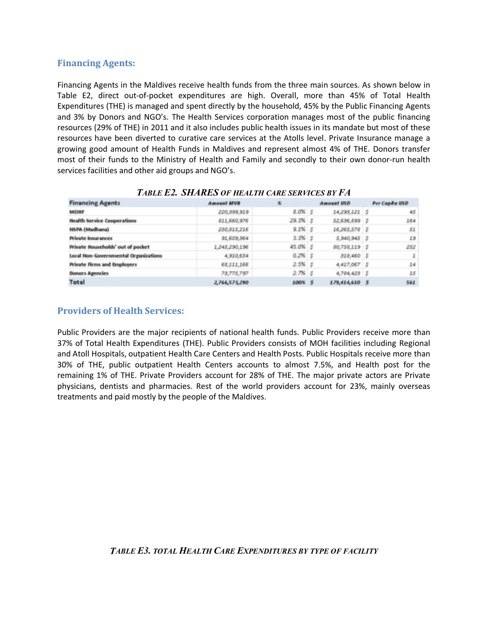## **Financing Agents:**

Financing Agents in the Maldives receive health funds from the three main sources. As shown below in Table E2, direct out-of-pocket expenditures are high. Overall, more than 45% of Total Health Expenditures (THE) is managed and spent directly by the household, 45% by the Public Financing Agents and 3% by Donors and NGO's. The Health Services corporation manages most of the public financing resources (29% of THE) in 2011 and it also includes public health issues in its mandate but most of these resources have been diverted to curative care services at the Atolls level. Private Insurance manage a growing good amount of Health Funds in Maldives and represent almost 4% of THE. Donors transfer most of their funds to the Ministry of Health and Family and secondly to their own donor-run health services facilities and other aid groups and NGO's.

| <b>Financing Agents</b>                     | <b>SVM taucak</b> | 那                | Amount USD     | Per Capita USD |
|---------------------------------------------|-------------------|------------------|----------------|----------------|
| MONF                                        | 220, 399, 919     | $8.0\%$ $\sharp$ | 24,293,222 \$  | 45             |
| <b>Health Service Cooperations</b>          | 221,660,976       | $29.3\%$ \$      | 52,636,299 \$  | 164            |
| <b>NSPA (Madhana)</b>                       | 250,815,216       | $9.1\%$ $5$      | 16,265,578 \$  | 52             |
| <b>Private Insurances</b>                   | 91,609,964        | $3.3%$ $5$       | 5.940.945S     | 19             |
| Private Households' out of pocket           | 1,245,290,196     | 45.0% \$         | 80,758,119 S   | 252            |
| <b>Local Non-Governmental Organizations</b> | 4,910,654         | $0.2\%$ S        | 318,460 S      | 1              |
| <b>Private Firms and Employers</b>          | 68,111,166        | $2.5%$ \$        | 4,427,067 \$   | 14             |
| <b>Donors Agencies</b>                      | 73,775,797        | $2.7%$ \$        | 4,784,423 \$   | 15             |
| Total                                       | 2,766,573,290     | 100% \$          | 179,414,610 \$ | 561            |

#### *TABLE E2. SHARES OF HEALTH CARE SERVICES BY FA*

## **Providers of Health Services:**

Public Providers are the major recipients of national health funds. Public Providers receive more than 37% of Total Health Expenditures (THE). Public Providers consists of MOH facilities including Regional and Atoll Hospitals, outpatient Health Care Centers and Health Posts. Public Hospitals receive more than 30% of THE, public outpatient Health Centers accounts to almost 7.5%, and Health post for the remaining 1% of THE. Private Providers account for 28% of THE. The major private actors are Private physicians, dentists and pharmacies. Rest of the world providers account for 23%, mainly overseas treatments and paid mostly by the people of the Maldives.

### *TABLE E3. TOTAL HEALTH CARE EXPENDITURES BY TYPE OF FACILITY*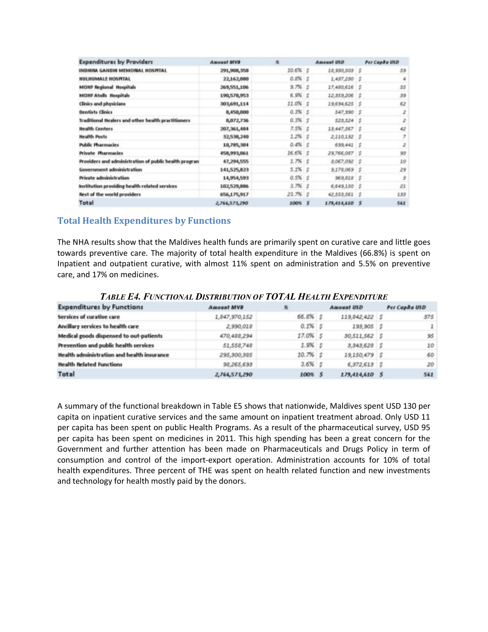| <b>Expenditures by Providers</b>                      | <b>Amount MVR</b> | x.                  | Amount USD     | Per Capita USD |
|-------------------------------------------------------|-------------------|---------------------|----------------|----------------|
| INDHINA GANDHI MEMORAL HOSPITAL                       | 291,908,358       | $10.6\%$ $\sqrt{5}$ | 18,930,503 \$  | 59             |
| HULHUMALE HOSPITAL                                    | 22,162,000        | $0.8\%$ S           | 1,437,230 \$   | 4              |
| <b>MOHF Regional Hospitals</b>                        | 269,551,106       | $9.7%$ $5$          | 17,480,626 \$  | 55             |
| <b>MOHF Atalls Hospitals</b>                          | 190,578,953       | $6.9%$ $5$          | 12,359,206 \$  | 39             |
| <b>Clinics and physicians</b>                         | 303,691,114       | 11.0% \$            | 19,694,625 \$  | 62             |
| <b>Dentists Clinics</b>                               | 8,450,000         | $0.3%$ \$           | 547,990 S      | 2              |
| Traditional Healers and other health practitioners    | 8,072,736         | $0.3\%$ \$          | 529,524 \$     | 2              |
| <b>Health Centers</b>                                 | 207,361,484       | $7.5%$ \$           | 13,447,567 \$  | 42             |
| <b>Health Posts</b>                                   | 32,538,240        | $1.2\%$ S           | 2,110,182 \$   | $\overline{r}$ |
| <b>Public Pharmacies</b>                              | 10,785,384        | $0.406$ $5$         | $699.441$ $5$  | 2              |
| Private Pharmacies                                    | 458,993,061       | $16.6%$ $$$         | 29,766,087 \$  | 93             |
| Providers and administration of public health program | 47,294,555        | $1.7%$ S            | 3,067,092 \$   | 10             |
| Government administration                             | 141,525,823       | $5.1\%$ $5$         | $9.178.069$ S  | 29             |
| <b>Private administration</b>                         | 14,954,593        | $0.5%$ $5$          | $969,828$ $$$  | ġ              |
| Institution providing health related services         | 102,529,886       | $3.7%$ 5            | 6,649,150 \$   | 22             |
| <b>Rest of the world providers</b>                    | 656,175,917       | $23.7%$ S           | 42,553,561 \$  | 2.3.9          |
| Total                                                 | 2,766,573,290     | 2005 5              | 179,414,610 \$ | 562            |

## **Total Health Expenditures by Functions**

The NHA results show that the Maldives health funds are primarily spent on curative care and little goes towards preventive care. The majority of total health expenditure in the Maldives (66.8%) is spent on Inpatient and outpatient curative, with almost 11% spent on administration and 5.5% on preventive care, and 17% on medicines.

| <b>Expenditures by Functions</b>                  | <b>Amount MVR</b> | 冤          | <b>Amount USD</b> | Per Capita USD |
|---------------------------------------------------|-------------------|------------|-------------------|----------------|
| Services of curative care                         | 1,847,970,152     | 66.8% \$   | 119,842,422 \$    | 375            |
| Ancillary services to health care                 | 2,990,018         | $0.1\%$ S  | 193,905 \$        | $\mathbf{1}$   |
| Medical goods dispensed to out-patients           | 470,488,294       | 17.0% \$   | 30,511,562 \$     | 95             |
| Prevention and public health services             | 51,558,748        | $1.9%$ S   | $3,343,628$ S     | 10             |
| <b>Health administration and health insurance</b> | 295,300,385       | $10.7%$ s  | 19,150,479 \$     | 60             |
| <b>Health Related Functions</b>                   | 98,265,693        | $3.6\%$ \$ | $6,372,613$ \$    | 20             |
| Total                                             | 2,766,573,290     | 100% \$    | 179,414,610 \$    | 561            |

*TABLE E4. FUNCTIONAL DISTRIBUTION OF TOTAL HEALTH EXPENDITURE*

A summary of the functional breakdown in Table E5 shows that nationwide, Maldives spent USD 130 per capita on inpatient curative services and the same amount on inpatient treatment abroad. Only USD 11 per capita has been spent on public Health Programs. As a result of the pharmaceutical survey, USD 95 per capita has been spent on medicines in 2011. This high spending has been a great concern for the Government and further attention has been made on Pharmaceuticals and Drugs Policy in term of consumption and control of the import-export operation. Administration accounts for 10% of total health expenditures. Three percent of THE was spent on health related function and new investments and technology for health mostly paid by the donors.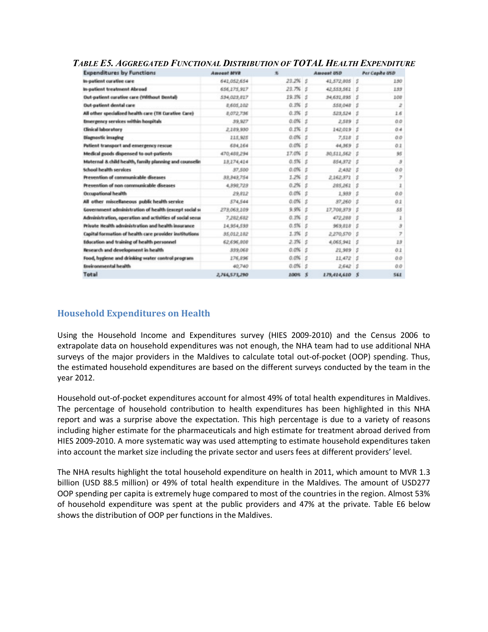| <b>Expenditures by Functions</b>                         | <b>Amount MVB</b> | 先                 | Amount USD     |    | Per Capita USD           |
|----------------------------------------------------------|-------------------|-------------------|----------------|----|--------------------------|
| In-patient curative care                                 | 641.052.654       | $23.2\%$ 5        | 41,572,805 \$  |    | 1.90                     |
| In-patient treatment Abroad                              | 656,275,917       | $23.7%$ $5$       | 42,553,561     | s. | 133                      |
| Out-patient curative care (Without Dental)               | 534,023,817       | 19.3% 5           | 34,631,895 \$  |    | 108                      |
| Out-patient dental care                                  | 8,605,202         | $0.3\%$ 5         | 558.048 \$     |    | $\overline{z}$           |
| All other specialized health care (TH Curative Care)     | 8,072,736         | $0.3\%$ 5         | 523,524 \$     |    | 1.6                      |
| <b>Ennergency services within hospitals</b>              | 39,927            | $0.096$ s         | 2,529          | 5  | 0.0                      |
| <b>Clinical laboratory</b>                               | 2,289,930         | $0.1\%$ 5         | 142,019        | 5  | 0.4                      |
| <b>Diagnostic imaging</b>                                | 215,925           | $0.0\%$ \$        | 7,518          | s  | 0.0                      |
| Patient transport and emergency rescue                   | 684,164           | $0.0\%$ s         | 44,369 S       |    | 0.1                      |
| Medical goods dispensed to out-patients                  | 470,488,294       | 17.0% \$          | 30,511,562     | s  | 95                       |
| Maternal 8. child health, family planning and counselin  | 13,274,414        | $0.5%$ \$         | 854,872        | 18 | $\overline{\mathcal{S}}$ |
| School health services                                   | 37,500            | $0.0\%$ s         | 2.482          | s  | 00                       |
| Prevention of communicable diseases                      | 33,343,754        | $1.2\%$ s         | 2162371        | s  | $\overline{z}$           |
| Prevention of non communicable diseases                  | 4,398,723         | $0.2\%$ S         | 285,261        | s  |                          |
| <b>Occupational health</b>                               | 29.812            | $0.0\%$ s         | 1,933          | s  | 00                       |
| All other miscellaneous public health service            | 574,544           | $0.0\%$ S         | 37,260         | s  | 0.1                      |
| Government administration of health (except social si    | 278,063,109       | $9.9%$ \$         | 17,708,873     | s  | 85                       |
| Administration, operation and activities of social secur | 7,282,682         | $0.3\%$ S         | 472,298        | s  | İ                        |
| Private Health administration and health insurance       | 14,954,598        | $0.5%$ 5          | 969,818        | s  | э                        |
| Capital formation of health care provider institutions   | 35,012,182        | $1.3\%$ S         | 2,270,570      | s  | 7                        |
| Education and training of health personnel               | 62,696,808        | $2.3\%$ S         | 4,065,941      | s  | 23                       |
| <b>Research and development in health</b>                | 339,068           | $0.0\%$ S         | 21,989         | s  | 0.1                      |
| Food, hygiene and drinking water control program         | 176,896           | $0.0\%$ s         | 11,472         | s  | 00                       |
| <b>Environmental health</b>                              | 40,740            | $0.056$ $\degree$ | 2.642          | s  | 0.0                      |
| Total                                                    | 2,766,573,290     | 100% \$           | 179,414,610 \$ |    | 561                      |

#### *TABLE E5. AGGREGATED FUNCTIONAL DISTRIBUTION OF TOTAL HEALTH EXPENDITURE*

# **Household Expenditures on Health**

Using the Household Income and Expenditures survey (HIES 2009-2010) and the Census 2006 to extrapolate data on household expenditures was not enough, the NHA team had to use additional NHA surveys of the major providers in the Maldives to calculate total out-of-pocket (OOP) spending. Thus, the estimated household expenditures are based on the different surveys conducted by the team in the year 2012.

Household out-of-pocket expenditures account for almost 49% of total health expenditures in Maldives. The percentage of household contribution to health expenditures has been highlighted in this NHA report and was a surprise above the expectation. This high percentage is due to a variety of reasons including higher estimate for the pharmaceuticals and high estimate for treatment abroad derived from HIES 2009-2010. A more systematic way was used attempting to estimate household expenditures taken into account the market size including the private sector and users fees at different providers' level.

The NHA results highlight the total household expenditure on health in 2011, which amount to MVR 1.3 billion (USD 88.5 million) or 49% of total health expenditure in the Maldives. The amount of USD277 OOP spending per capita is extremely huge compared to most of the countries in the region. Almost 53% of household expenditure was spent at the public providers and 47% at the private. Table E6 below shows the distribution of OOP per functions in the Maldives.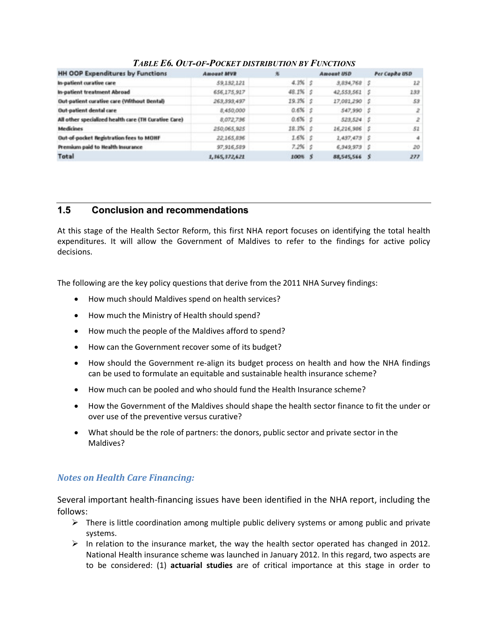| <b>HH OOP Expenditures by Functions</b>              | <b>Amount MVR</b> | 务           | <b>Amount USD</b> | Per Capita USD |
|------------------------------------------------------|-------------------|-------------|-------------------|----------------|
| In-patient curative care                             | 59,192,121        | $4.3\%$ $5$ | 3,834,768 \$      | $22^{\circ}$   |
| In-patient treatment Abroad                          | 656,175,917       | 48.1% \$    | 42,553,561 \$     | 133            |
| Out-patient curative care (Without Dental)           | 263, 393, 497     | 19.3% \$    | 17,081,290 S      | 53             |
| Out-patient dental care                              | 8,450,000         | $0.6\%$ \$  | 547,990 \$        | 2              |
| All other specialized health care (TH Curative Care) | 8,072,736         | $0.6\%$ \$  | 523,524 \$        | $\mathbb{Z}$   |
| <b>Medicines</b>                                     | 250,065,925       | $18.3%$ \$  | 16,216,986 \$     | 51             |
| Out-of-pocket Registration fees to MOHF              | 22,165,836        | $1.6%$ S    | 2,437,473 \$      | 4              |
| Premium paid to Health Insurance                     | 97,916,589        | $7.2\%$ S   | $6,349,973$ S     | 20             |
| Total                                                | 1,365,372,621     | 100% \$     | 88,545,566 \$     | 277            |

### *TABLE E6. OUT-OF-POCKET DISTRIBUTION BY FUNCTIONS*

# **1.5 Conclusion and recommendations**

At this stage of the Health Sector Reform, this first NHA report focuses on identifying the total health expenditures. It will allow the Government of Maldives to refer to the findings for active policy decisions.

The following are the key policy questions that derive from the 2011 NHA Survey findings:

- · How much should Maldives spend on health services?
- · How much the Ministry of Health should spend?
- · How much the people of the Maldives afford to spend?
- · How can the Government recover some of its budget?
- · How should the Government re-align its budget process on health and how the NHA findings can be used to formulate an equitable and sustainable health insurance scheme?
- · How much can be pooled and who should fund the Health Insurance scheme?
- · How the Government of the Maldives should shape the health sector finance to fit the under or over use of the preventive versus curative?
- · What should be the role of partners: the donors, public sector and private sector in the Maldives?

# *Notes on Health Care Financing:*

Several important health-financing issues have been identified in the NHA report, including the follows:

- $\triangleright$  There is little coordination among multiple public delivery systems or among public and private systems.
- $\triangleright$  In relation to the insurance market, the way the health sector operated has changed in 2012. National Health insurance scheme was launched in January 2012. In this regard, two aspects are to be considered: (1) **actuarial studies** are of critical importance at this stage in order to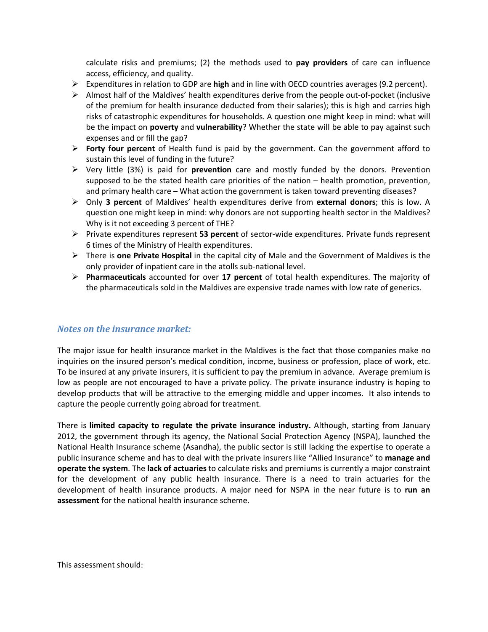calculate risks and premiums; (2) the methods used to **pay providers** of care can influence access, efficiency, and quality.

- ÿ Expenditures in relation to GDP are **high** and in line with OECD countries averages (9.2 percent).
- $\triangleright$  Almost half of the Maldives' health expenditures derive from the people out-of-pocket (inclusive of the premium for health insurance deducted from their salaries); this is high and carries high risks of catastrophic expenditures for households. A question one might keep in mind: what will be the impact on **poverty** and **vulnerability**? Whether the state will be able to pay against such expenses and or fill the gap?
- ÿ **Forty four percent** of Health fund is paid by the government. Can the government afford to sustain this level of funding in the future?
- ÿ Very little (3%) is paid for **prevention** care and mostly funded by the donors. Prevention supposed to be the stated health care priorities of the nation – health promotion, prevention, and primary health care – What action the government is taken toward preventing diseases?
- ÿ Only **3 percent** of Maldives' health expenditures derive from **external donors**; this is low. A question one might keep in mind: why donors are not supporting health sector in the Maldives? Why is it not exceeding 3 percent of THE?
- ÿ Private expenditures represent **53 percent** of sector-wide expenditures. Private funds represent 6 times of the Ministry of Health expenditures.
- ÿ There is **one Private Hospital** in the capital city of Male and the Government of Maldives is the only provider of inpatient care in the atolls sub-national level.
- ÿ **Pharmaceuticals** accounted for over **17 percent** of total health expenditures. The majority of the pharmaceuticals sold in the Maldives are expensive trade names with low rate of generics.

### *Notes on the insurance market:*

The major issue for health insurance market in the Maldives is the fact that those companies make no inquiries on the insured person's medical condition, income, business or profession, place of work, etc. To be insured at any private insurers, it is sufficient to pay the premium in advance. Average premium is low as people are not encouraged to have a private policy. The private insurance industry is hoping to develop products that will be attractive to the emerging middle and upper incomes. It also intends to capture the people currently going abroad for treatment.

There is **limited capacity to regulate the private insurance industry.** Although, starting from January 2012, the government through its agency, the National Social Protection Agency (NSPA), launched the National Health Insurance scheme (Asandha), the public sector is still lacking the expertise to operate a public insurance scheme and has to deal with the private insurers like "Allied Insurance" to **manage and operate the system**. The **lack of actuaries** to calculate risks and premiums is currently a major constraint for the development of any public health insurance. There is a need to train actuaries for the development of health insurance products. A major need for NSPA in the near future is to **run an assessment** for the national health insurance scheme.

This assessment should: